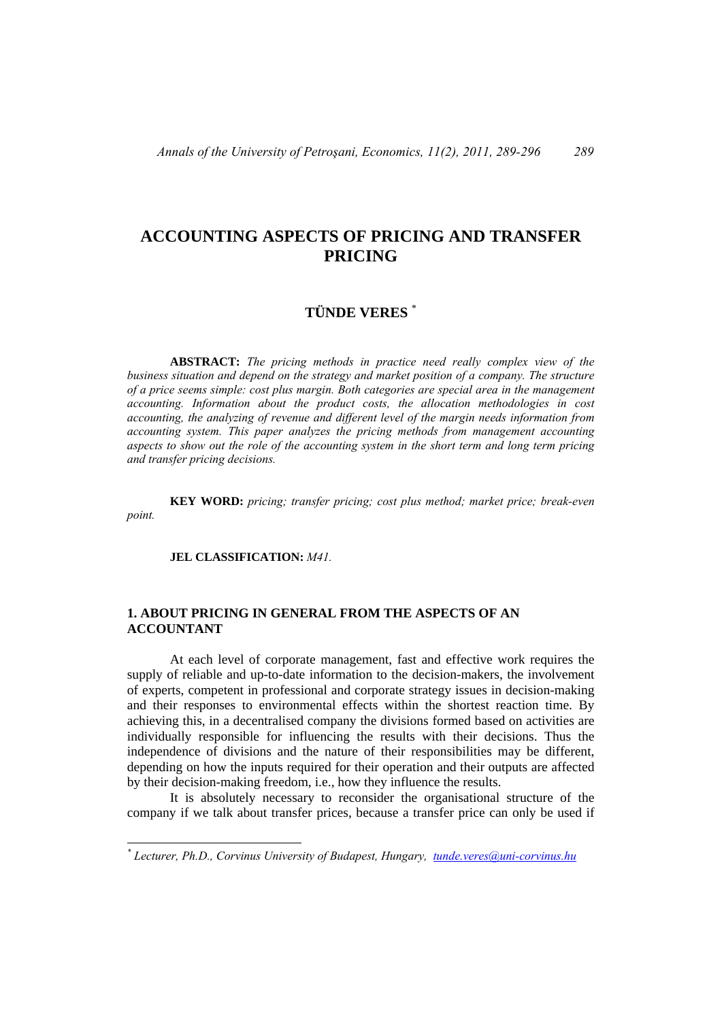# **ACCOUNTING ASPECTS OF PRICING AND TRANSFER PRICING**

# **TÜNDE VERES** \*

 **ABSTRACT:** *The pricing methods in practice need really complex view of the business situation and depend on the strategy and market position of a company. The structure of a price seems simple: cost plus margin. Both categories are special area in the management accounting. Information about the product costs, the allocation methodologies in cost accounting, the analyzing of revenue and different level of the margin needs information from accounting system. This paper analyzes the pricing methods from management accounting aspects to show out the role of the accounting system in the short term and long term pricing and transfer pricing decisions.* 

 **KEY WORD:** *pricing; transfer pricing; cost plus method; market price; break-even point.* 

 **JEL CLASSIFICATION:** *M41.*

 $\overline{a}$ 

### **1. ABOUT PRICING IN GENERAL FROM THE ASPECTS OF AN ACCOUNTANT**

 At each level of corporate management, fast and effective work requires the supply of reliable and up-to-date information to the decision-makers, the involvement of experts, competent in professional and corporate strategy issues in decision-making and their responses to environmental effects within the shortest reaction time. By achieving this, in a decentralised company the divisions formed based on activities are individually responsible for influencing the results with their decisions. Thus the independence of divisions and the nature of their responsibilities may be different, depending on how the inputs required for their operation and their outputs are affected by their decision-making freedom, i.e., how they influence the results.

 It is absolutely necessary to reconsider the organisational structure of the company if we talk about transfer prices, because a transfer price can only be used if

*<sup>\*</sup> Lecturer, Ph.D., Corvinus University of Budapest, Hungary, tunde.veres@uni-corvinus.hu*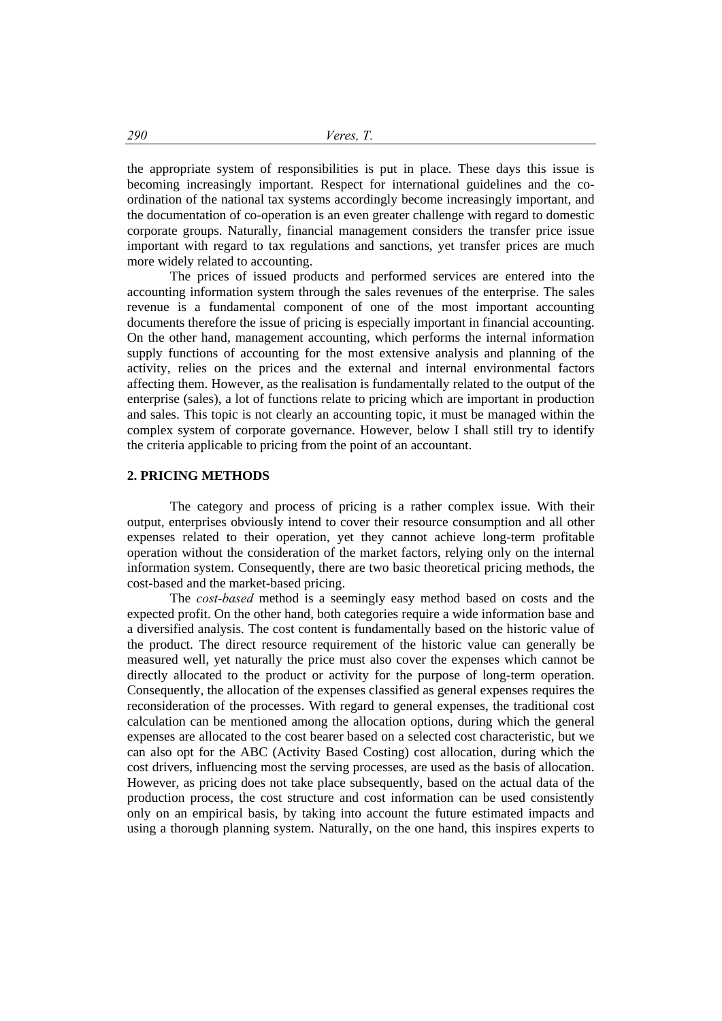the appropriate system of responsibilities is put in place. These days this issue is becoming increasingly important. Respect for international guidelines and the coordination of the national tax systems accordingly become increasingly important, and the documentation of co-operation is an even greater challenge with regard to domestic corporate groups. Naturally, financial management considers the transfer price issue important with regard to tax regulations and sanctions, yet transfer prices are much more widely related to accounting.

 The prices of issued products and performed services are entered into the accounting information system through the sales revenues of the enterprise. The sales revenue is a fundamental component of one of the most important accounting documents therefore the issue of pricing is especially important in financial accounting. On the other hand, management accounting, which performs the internal information supply functions of accounting for the most extensive analysis and planning of the activity, relies on the prices and the external and internal environmental factors affecting them. However, as the realisation is fundamentally related to the output of the enterprise (sales), a lot of functions relate to pricing which are important in production and sales. This topic is not clearly an accounting topic, it must be managed within the complex system of corporate governance. However, below I shall still try to identify the criteria applicable to pricing from the point of an accountant.

#### **2. PRICING METHODS**

 The category and process of pricing is a rather complex issue. With their output, enterprises obviously intend to cover their resource consumption and all other expenses related to their operation, yet they cannot achieve long-term profitable operation without the consideration of the market factors, relying only on the internal information system. Consequently, there are two basic theoretical pricing methods, the cost-based and the market-based pricing.

 The *cost-based* method is a seemingly easy method based on costs and the expected profit. On the other hand, both categories require a wide information base and a diversified analysis. The cost content is fundamentally based on the historic value of the product. The direct resource requirement of the historic value can generally be measured well, yet naturally the price must also cover the expenses which cannot be directly allocated to the product or activity for the purpose of long-term operation. Consequently, the allocation of the expenses classified as general expenses requires the reconsideration of the processes. With regard to general expenses, the traditional cost calculation can be mentioned among the allocation options, during which the general expenses are allocated to the cost bearer based on a selected cost characteristic, but we can also opt for the ABC (Activity Based Costing) cost allocation, during which the cost drivers, influencing most the serving processes, are used as the basis of allocation. However, as pricing does not take place subsequently, based on the actual data of the production process, the cost structure and cost information can be used consistently only on an empirical basis, by taking into account the future estimated impacts and using a thorough planning system. Naturally, on the one hand, this inspires experts to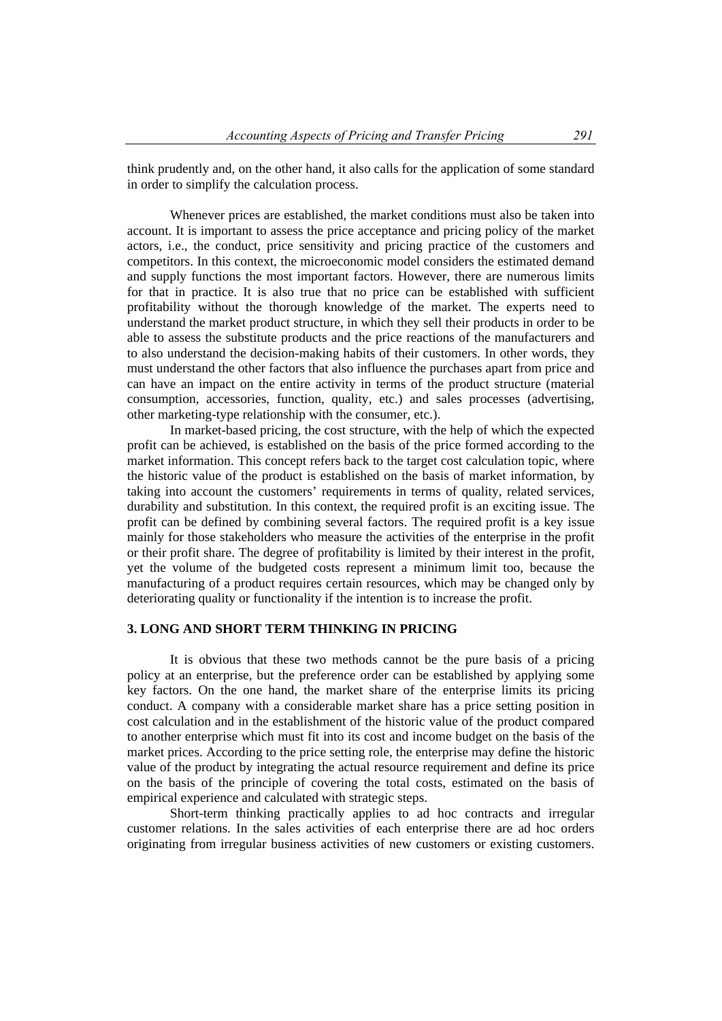think prudently and, on the other hand, it also calls for the application of some standard in order to simplify the calculation process.

 Whenever prices are established, the market conditions must also be taken into account. It is important to assess the price acceptance and pricing policy of the market actors, i.e., the conduct, price sensitivity and pricing practice of the customers and competitors. In this context, the microeconomic model considers the estimated demand and supply functions the most important factors. However, there are numerous limits for that in practice. It is also true that no price can be established with sufficient profitability without the thorough knowledge of the market. The experts need to understand the market product structure, in which they sell their products in order to be able to assess the substitute products and the price reactions of the manufacturers and to also understand the decision-making habits of their customers. In other words, they must understand the other factors that also influence the purchases apart from price and can have an impact on the entire activity in terms of the product structure (material consumption, accessories, function, quality, etc.) and sales processes (advertising, other marketing-type relationship with the consumer, etc.).

 In market-based pricing, the cost structure, with the help of which the expected profit can be achieved, is established on the basis of the price formed according to the market information. This concept refers back to the target cost calculation topic, where the historic value of the product is established on the basis of market information, by taking into account the customers' requirements in terms of quality, related services, durability and substitution. In this context, the required profit is an exciting issue. The profit can be defined by combining several factors. The required profit is a key issue mainly for those stakeholders who measure the activities of the enterprise in the profit or their profit share. The degree of profitability is limited by their interest in the profit, yet the volume of the budgeted costs represent a minimum limit too, because the manufacturing of a product requires certain resources, which may be changed only by deteriorating quality or functionality if the intention is to increase the profit.

## **3. LONG AND SHORT TERM THINKING IN PRICING**

 It is obvious that these two methods cannot be the pure basis of a pricing policy at an enterprise, but the preference order can be established by applying some key factors. On the one hand, the market share of the enterprise limits its pricing conduct. A company with a considerable market share has a price setting position in cost calculation and in the establishment of the historic value of the product compared to another enterprise which must fit into its cost and income budget on the basis of the market prices. According to the price setting role, the enterprise may define the historic value of the product by integrating the actual resource requirement and define its price on the basis of the principle of covering the total costs, estimated on the basis of empirical experience and calculated with strategic steps.

 Short-term thinking practically applies to ad hoc contracts and irregular customer relations. In the sales activities of each enterprise there are ad hoc orders originating from irregular business activities of new customers or existing customers.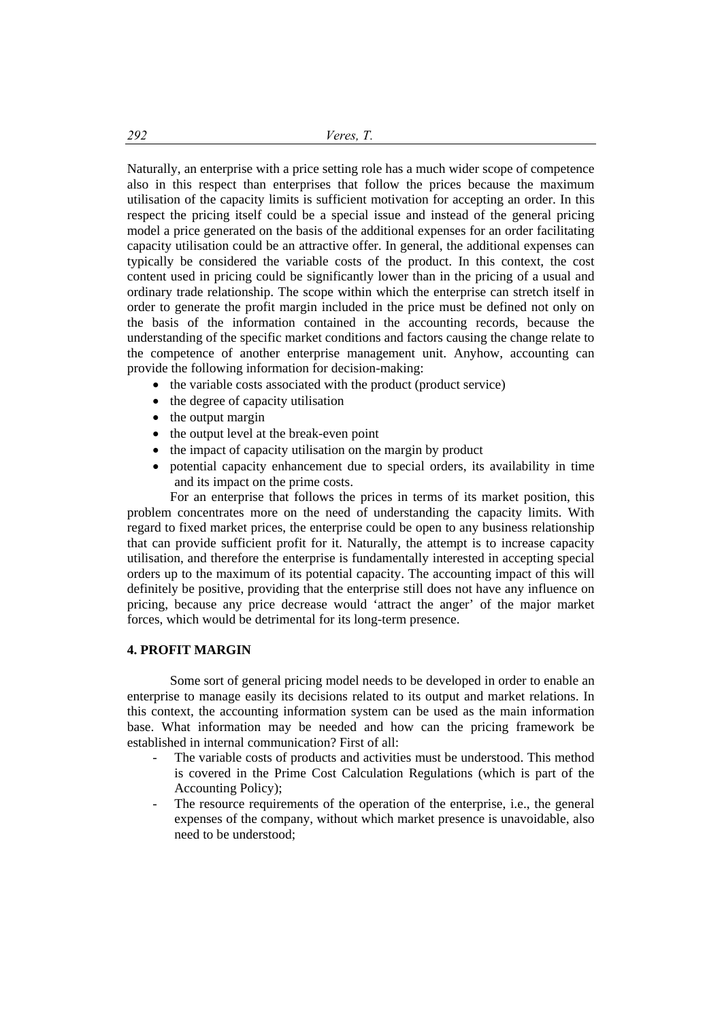Naturally, an enterprise with a price setting role has a much wider scope of competence also in this respect than enterprises that follow the prices because the maximum utilisation of the capacity limits is sufficient motivation for accepting an order. In this respect the pricing itself could be a special issue and instead of the general pricing model a price generated on the basis of the additional expenses for an order facilitating capacity utilisation could be an attractive offer. In general, the additional expenses can typically be considered the variable costs of the product. In this context, the cost content used in pricing could be significantly lower than in the pricing of a usual and ordinary trade relationship. The scope within which the enterprise can stretch itself in order to generate the profit margin included in the price must be defined not only on the basis of the information contained in the accounting records, because the understanding of the specific market conditions and factors causing the change relate to the competence of another enterprise management unit. Anyhow, accounting can provide the following information for decision-making:

- $\bullet$  the variable costs associated with the product (product service)
- $\bullet$  the degree of capacity utilisation
- $\bullet$  the output margin
- the output level at the break-even point
- the impact of capacity utilisation on the margin by product
- potential capacity enhancement due to special orders, its availability in time and its impact on the prime costs.

 For an enterprise that follows the prices in terms of its market position, this problem concentrates more on the need of understanding the capacity limits. With regard to fixed market prices, the enterprise could be open to any business relationship that can provide sufficient profit for it. Naturally, the attempt is to increase capacity utilisation, and therefore the enterprise is fundamentally interested in accepting special orders up to the maximum of its potential capacity. The accounting impact of this will definitely be positive, providing that the enterprise still does not have any influence on pricing, because any price decrease would 'attract the anger' of the major market forces, which would be detrimental for its long-term presence.

#### **4. PROFIT MARGIN**

 Some sort of general pricing model needs to be developed in order to enable an enterprise to manage easily its decisions related to its output and market relations. In this context, the accounting information system can be used as the main information base. What information may be needed and how can the pricing framework be established in internal communication? First of all:

- The variable costs of products and activities must be understood. This method is covered in the Prime Cost Calculation Regulations (which is part of the Accounting Policy);
- The resource requirements of the operation of the enterprise, i.e., the general expenses of the company, without which market presence is unavoidable, also need to be understood;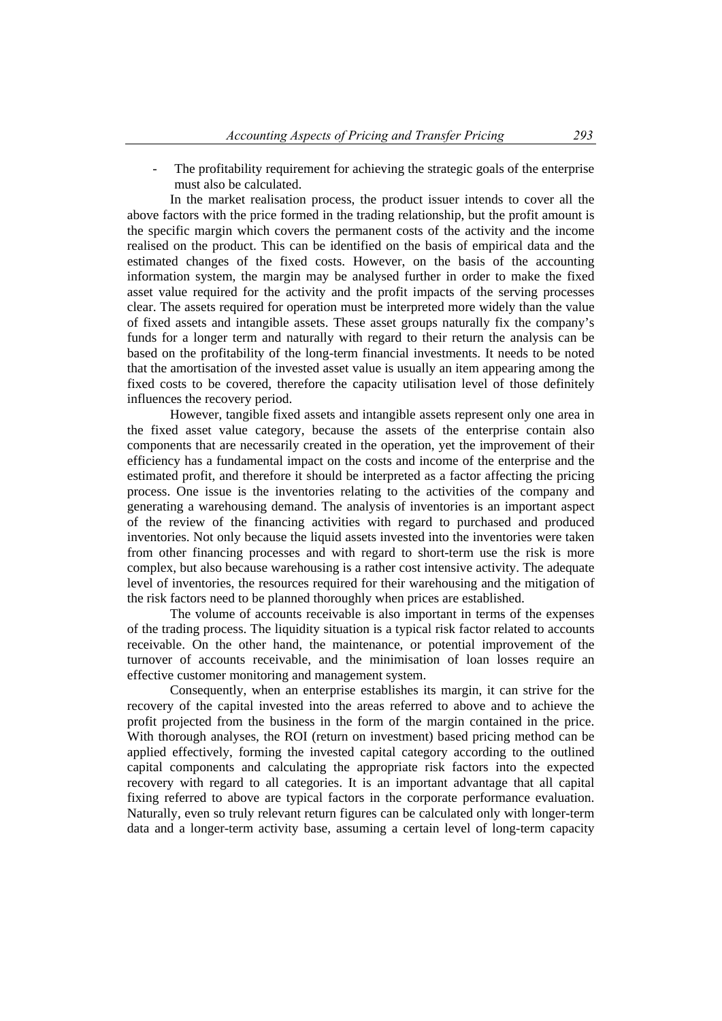The profitability requirement for achieving the strategic goals of the enterprise must also be calculated.

 In the market realisation process, the product issuer intends to cover all the above factors with the price formed in the trading relationship, but the profit amount is the specific margin which covers the permanent costs of the activity and the income realised on the product. This can be identified on the basis of empirical data and the estimated changes of the fixed costs. However, on the basis of the accounting information system, the margin may be analysed further in order to make the fixed asset value required for the activity and the profit impacts of the serving processes clear. The assets required for operation must be interpreted more widely than the value of fixed assets and intangible assets. These asset groups naturally fix the company's funds for a longer term and naturally with regard to their return the analysis can be based on the profitability of the long-term financial investments. It needs to be noted that the amortisation of the invested asset value is usually an item appearing among the fixed costs to be covered, therefore the capacity utilisation level of those definitely influences the recovery period.

 However, tangible fixed assets and intangible assets represent only one area in the fixed asset value category, because the assets of the enterprise contain also components that are necessarily created in the operation, yet the improvement of their efficiency has a fundamental impact on the costs and income of the enterprise and the estimated profit, and therefore it should be interpreted as a factor affecting the pricing process. One issue is the inventories relating to the activities of the company and generating a warehousing demand. The analysis of inventories is an important aspect of the review of the financing activities with regard to purchased and produced inventories. Not only because the liquid assets invested into the inventories were taken from other financing processes and with regard to short-term use the risk is more complex, but also because warehousing is a rather cost intensive activity. The adequate level of inventories, the resources required for their warehousing and the mitigation of the risk factors need to be planned thoroughly when prices are established.

 The volume of accounts receivable is also important in terms of the expenses of the trading process. The liquidity situation is a typical risk factor related to accounts receivable. On the other hand, the maintenance, or potential improvement of the turnover of accounts receivable, and the minimisation of loan losses require an effective customer monitoring and management system.

 Consequently, when an enterprise establishes its margin, it can strive for the recovery of the capital invested into the areas referred to above and to achieve the profit projected from the business in the form of the margin contained in the price. With thorough analyses, the ROI (return on investment) based pricing method can be applied effectively, forming the invested capital category according to the outlined capital components and calculating the appropriate risk factors into the expected recovery with regard to all categories. It is an important advantage that all capital fixing referred to above are typical factors in the corporate performance evaluation. Naturally, even so truly relevant return figures can be calculated only with longer-term data and a longer-term activity base, assuming a certain level of long-term capacity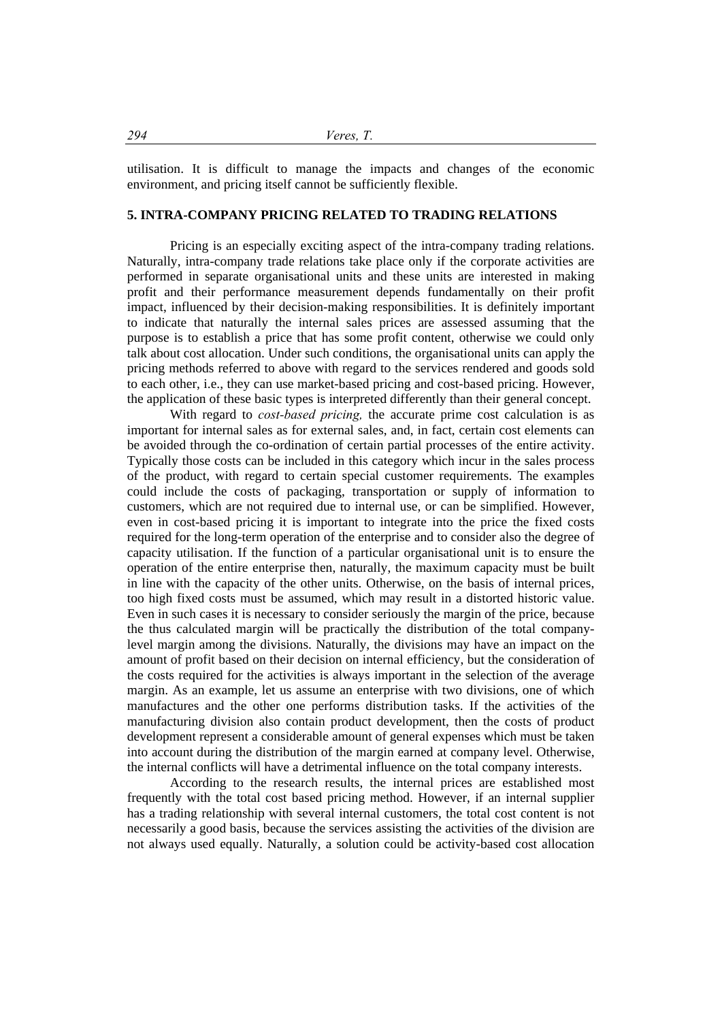utilisation. It is difficult to manage the impacts and changes of the economic environment, and pricing itself cannot be sufficiently flexible.

### **5. INTRA-COMPANY PRICING RELATED TO TRADING RELATIONS**

 Pricing is an especially exciting aspect of the intra-company trading relations. Naturally, intra-company trade relations take place only if the corporate activities are performed in separate organisational units and these units are interested in making profit and their performance measurement depends fundamentally on their profit impact, influenced by their decision-making responsibilities. It is definitely important to indicate that naturally the internal sales prices are assessed assuming that the purpose is to establish a price that has some profit content, otherwise we could only talk about cost allocation. Under such conditions, the organisational units can apply the pricing methods referred to above with regard to the services rendered and goods sold to each other, i.e., they can use market-based pricing and cost-based pricing. However, the application of these basic types is interpreted differently than their general concept.

 With regard to *cost-based pricing,* the accurate prime cost calculation is as important for internal sales as for external sales, and, in fact, certain cost elements can be avoided through the co-ordination of certain partial processes of the entire activity. Typically those costs can be included in this category which incur in the sales process of the product, with regard to certain special customer requirements. The examples could include the costs of packaging, transportation or supply of information to customers, which are not required due to internal use, or can be simplified. However, even in cost-based pricing it is important to integrate into the price the fixed costs required for the long-term operation of the enterprise and to consider also the degree of capacity utilisation. If the function of a particular organisational unit is to ensure the operation of the entire enterprise then, naturally, the maximum capacity must be built in line with the capacity of the other units. Otherwise, on the basis of internal prices, too high fixed costs must be assumed, which may result in a distorted historic value. Even in such cases it is necessary to consider seriously the margin of the price, because the thus calculated margin will be practically the distribution of the total companylevel margin among the divisions. Naturally, the divisions may have an impact on the amount of profit based on their decision on internal efficiency, but the consideration of the costs required for the activities is always important in the selection of the average margin. As an example, let us assume an enterprise with two divisions, one of which manufactures and the other one performs distribution tasks. If the activities of the manufacturing division also contain product development, then the costs of product development represent a considerable amount of general expenses which must be taken into account during the distribution of the margin earned at company level. Otherwise, the internal conflicts will have a detrimental influence on the total company interests.

 According to the research results, the internal prices are established most frequently with the total cost based pricing method. However, if an internal supplier has a trading relationship with several internal customers, the total cost content is not necessarily a good basis, because the services assisting the activities of the division are not always used equally. Naturally, a solution could be activity-based cost allocation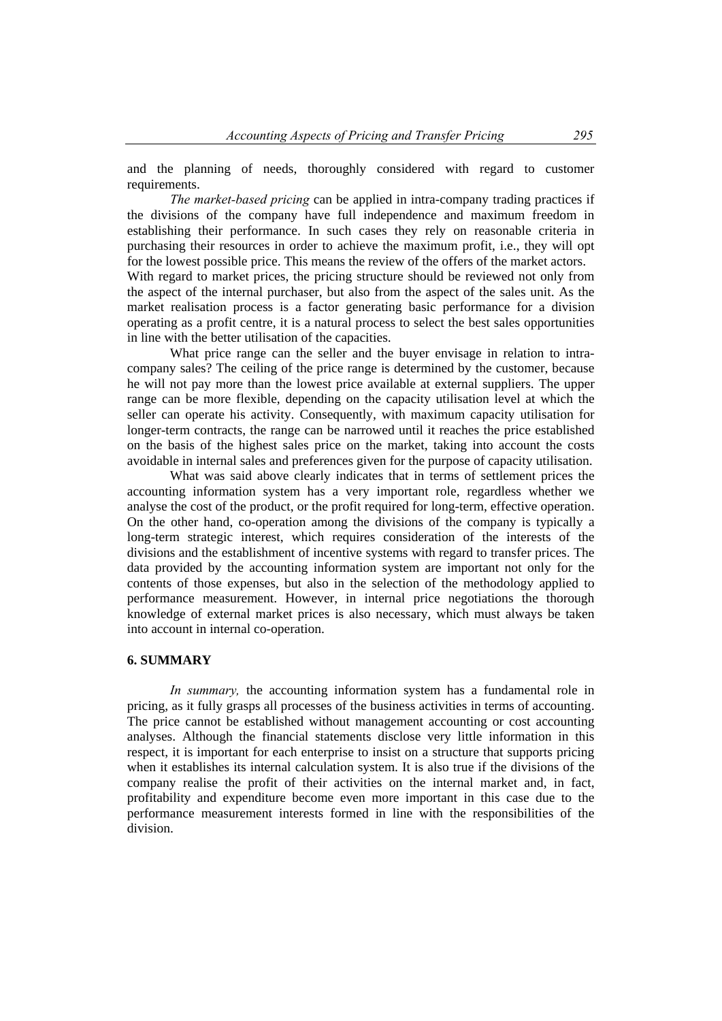and the planning of needs, thoroughly considered with regard to customer requirements.

 *The market-based pricing* can be applied in intra-company trading practices if the divisions of the company have full independence and maximum freedom in establishing their performance. In such cases they rely on reasonable criteria in purchasing their resources in order to achieve the maximum profit, i.e., they will opt for the lowest possible price. This means the review of the offers of the market actors. With regard to market prices, the pricing structure should be reviewed not only from the aspect of the internal purchaser, but also from the aspect of the sales unit. As the market realisation process is a factor generating basic performance for a division operating as a profit centre, it is a natural process to select the best sales opportunities in line with the better utilisation of the capacities.

 What price range can the seller and the buyer envisage in relation to intracompany sales? The ceiling of the price range is determined by the customer, because he will not pay more than the lowest price available at external suppliers. The upper range can be more flexible, depending on the capacity utilisation level at which the seller can operate his activity. Consequently, with maximum capacity utilisation for longer-term contracts, the range can be narrowed until it reaches the price established on the basis of the highest sales price on the market, taking into account the costs avoidable in internal sales and preferences given for the purpose of capacity utilisation.

 What was said above clearly indicates that in terms of settlement prices the accounting information system has a very important role, regardless whether we analyse the cost of the product, or the profit required for long-term, effective operation. On the other hand, co-operation among the divisions of the company is typically a long-term strategic interest, which requires consideration of the interests of the divisions and the establishment of incentive systems with regard to transfer prices. The data provided by the accounting information system are important not only for the contents of those expenses, but also in the selection of the methodology applied to performance measurement. However, in internal price negotiations the thorough knowledge of external market prices is also necessary, which must always be taken into account in internal co-operation.

## **6. SUMMARY**

 *In summary,* the accounting information system has a fundamental role in pricing, as it fully grasps all processes of the business activities in terms of accounting. The price cannot be established without management accounting or cost accounting analyses. Although the financial statements disclose very little information in this respect, it is important for each enterprise to insist on a structure that supports pricing when it establishes its internal calculation system. It is also true if the divisions of the company realise the profit of their activities on the internal market and, in fact, profitability and expenditure become even more important in this case due to the performance measurement interests formed in line with the responsibilities of the division.